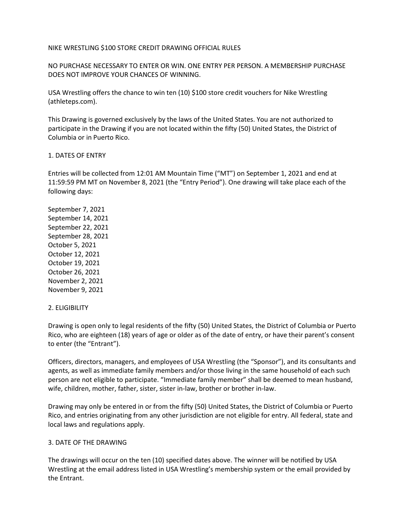#### NIKE WRESTLING \$100 STORE CREDIT DRAWING OFFICIAL RULES

NO PURCHASE NECESSARY TO ENTER OR WIN. ONE ENTRY PER PERSON. A MEMBERSHIP PURCHASE DOES NOT IMPROVE YOUR CHANCES OF WINNING.

USA Wrestling offers the chance to win ten (10) \$100 store credit vouchers for Nike Wrestling (athleteps.com).

This Drawing is governed exclusively by the laws of the United States. You are not authorized to participate in the Drawing if you are not located within the fifty (50) United States, the District of Columbia or in Puerto Rico.

#### 1. DATES OF ENTRY

Entries will be collected from 12:01 AM Mountain Time ("MT") on September 1, 2021 and end at 11:59:59 PM MT on November 8, 2021 (the "Entry Period"). One drawing will take place each of the following days:

September 7, 2021 September 14, 2021 September 22, 2021 September 28, 2021 October 5, 2021 October 12, 2021 October 19, 2021 October 26, 2021 November 2, 2021 November 9, 2021

#### 2. ELIGIBILITY

Drawing is open only to legal residents of the fifty (50) United States, the District of Columbia or Puerto Rico, who are eighteen (18) years of age or older as of the date of entry, or have their parent's consent to enter (the "Entrant").

Officers, directors, managers, and employees of USA Wrestling (the "Sponsor"), and its consultants and agents, as well as immediate family members and/or those living in the same household of each such person are not eligible to participate. "Immediate family member" shall be deemed to mean husband, wife, children, mother, father, sister, sister in-law, brother or brother in-law.

Drawing may only be entered in or from the fifty (50) United States, the District of Columbia or Puerto Rico, and entries originating from any other jurisdiction are not eligible for entry. All federal, state and local laws and regulations apply.

#### 3. DATE OF THE DRAWING

The drawings will occur on the ten (10) specified dates above. The winner will be notified by USA Wrestling at the email address listed in USA Wrestling's membership system or the email provided by the Entrant.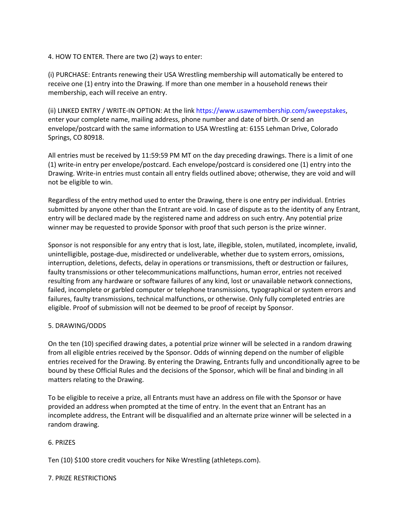# 4. HOW TO ENTER. There are two (2) ways to enter:

(i) PURCHASE: Entrants renewing their USA Wrestling membership will automatically be entered to receive one (1) entry into the Drawing. If more than one member in a household renews their membership, each will receive an entry.

(ii) LINKED ENTRY / WRITE-IN OPTION: At the link https://www.usawmembership.com/sweepstakes, enter your complete name, mailing address, phone number and date of birth. Or send an envelope/postcard with the same information to USA Wrestling at: 6155 Lehman Drive, Colorado Springs, CO 80918.

All entries must be received by 11:59:59 PM MT on the day preceding drawings. There is a limit of one (1) write-in entry per envelope/postcard. Each envelope/postcard is considered one (1) entry into the Drawing. Write-in entries must contain all entry fields outlined above; otherwise, they are void and will not be eligible to win.

Regardless of the entry method used to enter the Drawing, there is one entry per individual. Entries submitted by anyone other than the Entrant are void. In case of dispute as to the identity of any Entrant, entry will be declared made by the registered name and address on such entry. Any potential prize winner may be requested to provide Sponsor with proof that such person is the prize winner.

Sponsor is not responsible for any entry that is lost, late, illegible, stolen, mutilated, incomplete, invalid, unintelligible, postage-due, misdirected or undeliverable, whether due to system errors, omissions, interruption, deletions, defects, delay in operations or transmissions, theft or destruction or failures, faulty transmissions or other telecommunications malfunctions, human error, entries not received resulting from any hardware or software failures of any kind, lost or unavailable network connections, failed, incomplete or garbled computer or telephone transmissions, typographical or system errors and failures, faulty transmissions, technical malfunctions, or otherwise. Only fully completed entries are eligible. Proof of submission will not be deemed to be proof of receipt by Sponsor.

## 5. DRAWING/ODDS

On the ten (10) specified drawing dates, a potential prize winner will be selected in a random drawing from all eligible entries received by the Sponsor. Odds of winning depend on the number of eligible entries received for the Drawing. By entering the Drawing, Entrants fully and unconditionally agree to be bound by these Official Rules and the decisions of the Sponsor, which will be final and binding in all matters relating to the Drawing.

To be eligible to receive a prize, all Entrants must have an address on file with the Sponsor or have provided an address when prompted at the time of entry. In the event that an Entrant has an incomplete address, the Entrant will be disqualified and an alternate prize winner will be selected in a random drawing.

## 6. PRIZES

Ten (10) \$100 store credit vouchers for Nike Wrestling (athleteps.com).

## 7. PRIZE RESTRICTIONS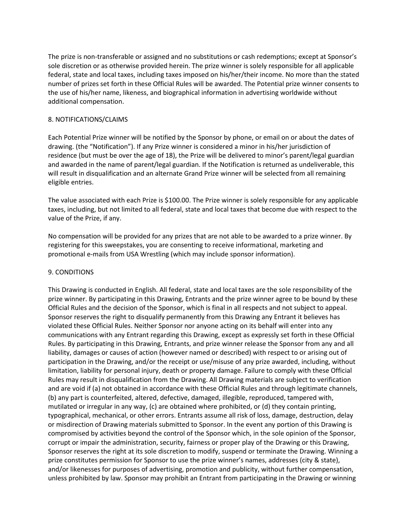The prize is non-transferable or assigned and no substitutions or cash redemptions; except at Sponsor's sole discretion or as otherwise provided herein. The prize winner is solely responsible for all applicable federal, state and local taxes, including taxes imposed on his/her/their income. No more than the stated number of prizes set forth in these Official Rules will be awarded. The Potential prize winner consents to the use of his/her name, likeness, and biographical information in advertising worldwide without additional compensation.

## 8. NOTIFICATIONS/CLAIMS

Each Potential Prize winner will be notified by the Sponsor by phone, or email on or about the dates of drawing. (the "Notification"). If any Prize winner is considered a minor in his/her jurisdiction of residence (but must be over the age of 18), the Prize will be delivered to minor's parent/legal guardian and awarded in the name of parent/legal guardian. If the Notification is returned as undeliverable, this will result in disqualification and an alternate Grand Prize winner will be selected from all remaining eligible entries.

The value associated with each Prize is \$100.00. The Prize winner is solely responsible for any applicable taxes, including, but not limited to all federal, state and local taxes that become due with respect to the value of the Prize, if any.

No compensation will be provided for any prizes that are not able to be awarded to a prize winner. By registering for this sweepstakes, you are consenting to receive informational, marketing and promotional e-mails from USA Wrestling (which may include sponsor information).

## 9. CONDITIONS

This Drawing is conducted in English. All federal, state and local taxes are the sole responsibility of the prize winner. By participating in this Drawing, Entrants and the prize winner agree to be bound by these Official Rules and the decision of the Sponsor, which is final in all respects and not subject to appeal. Sponsor reserves the right to disqualify permanently from this Drawing any Entrant it believes has violated these Official Rules. Neither Sponsor nor anyone acting on its behalf will enter into any communications with any Entrant regarding this Drawing, except as expressly set forth in these Official Rules. By participating in this Drawing, Entrants, and prize winner release the Sponsor from any and all liability, damages or causes of action (however named or described) with respect to or arising out of participation in the Drawing, and/or the receipt or use/misuse of any prize awarded, including, without limitation, liability for personal injury, death or property damage. Failure to comply with these Official Rules may result in disqualification from the Drawing. All Drawing materials are subject to verification and are void if (a) not obtained in accordance with these Official Rules and through legitimate channels, (b) any part is counterfeited, altered, defective, damaged, illegible, reproduced, tampered with, mutilated or irregular in any way, (c) are obtained where prohibited, or (d) they contain printing, typographical, mechanical, or other errors. Entrants assume all risk of loss, damage, destruction, delay or misdirection of Drawing materials submitted to Sponsor. In the event any portion of this Drawing is compromised by activities beyond the control of the Sponsor which, in the sole opinion of the Sponsor, corrupt or impair the administration, security, fairness or proper play of the Drawing or this Drawing, Sponsor reserves the right at its sole discretion to modify, suspend or terminate the Drawing. Winning a prize constitutes permission for Sponsor to use the prize winner's names, addresses (city & state), and/or likenesses for purposes of advertising, promotion and publicity, without further compensation, unless prohibited by law. Sponsor may prohibit an Entrant from participating in the Drawing or winning